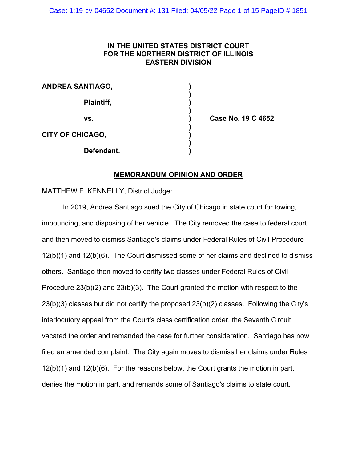# **IN THE UNITED STATES DISTRICT COURT FOR THE NORTHERN DISTRICT OF ILLINOIS EASTERN DIVISION**

**)**

| <b>ANDREA SANTIAGO,</b> |  |
|-------------------------|--|
| Plaintiff,              |  |
| VS.                     |  |
| <b>CITY OF CHICAGO,</b> |  |
| Defendant.              |  |

**vs. ) Case No. 19 C 4652**

# **MEMORANDUM OPINION AND ORDER**

MATTHEW F. KENNELLY, District Judge:

In 2019, Andrea Santiago sued the City of Chicago in state court for towing, impounding, and disposing of her vehicle. The City removed the case to federal court and then moved to dismiss Santiago's claims under Federal Rules of Civil Procedure 12(b)(1) and 12(b)(6). The Court dismissed some of her claims and declined to dismiss others. Santiago then moved to certify two classes under Federal Rules of Civil Procedure 23(b)(2) and 23(b)(3). The Court granted the motion with respect to the 23(b)(3) classes but did not certify the proposed 23(b)(2) classes. Following the City's interlocutory appeal from the Court's class certification order, the Seventh Circuit vacated the order and remanded the case for further consideration. Santiago has now filed an amended complaint. The City again moves to dismiss her claims under Rules 12(b)(1) and 12(b)(6). For the reasons below, the Court grants the motion in part, denies the motion in part, and remands some of Santiago's claims to state court.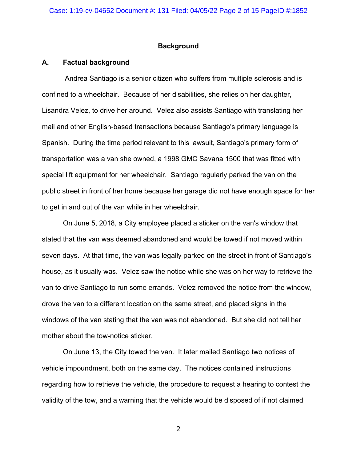## **Background**

## **A. Factual background**

Andrea Santiago is a senior citizen who suffers from multiple sclerosis and is confined to a wheelchair. Because of her disabilities, she relies on her daughter, Lisandra Velez, to drive her around. Velez also assists Santiago with translating her mail and other English-based transactions because Santiago's primary language is Spanish. During the time period relevant to this lawsuit, Santiago's primary form of transportation was a van she owned, a 1998 GMC Savana 1500 that was fitted with special lift equipment for her wheelchair. Santiago regularly parked the van on the public street in front of her home because her garage did not have enough space for her to get in and out of the van while in her wheelchair.

On June 5, 2018, a City employee placed a sticker on the van's window that stated that the van was deemed abandoned and would be towed if not moved within seven days. At that time, the van was legally parked on the street in front of Santiago's house, as it usually was. Velez saw the notice while she was on her way to retrieve the van to drive Santiago to run some errands. Velez removed the notice from the window, drove the van to a different location on the same street, and placed signs in the windows of the van stating that the van was not abandoned. But she did not tell her mother about the tow-notice sticker.

On June 13, the City towed the van. It later mailed Santiago two notices of vehicle impoundment, both on the same day. The notices contained instructions regarding how to retrieve the vehicle, the procedure to request a hearing to contest the validity of the tow, and a warning that the vehicle would be disposed of if not claimed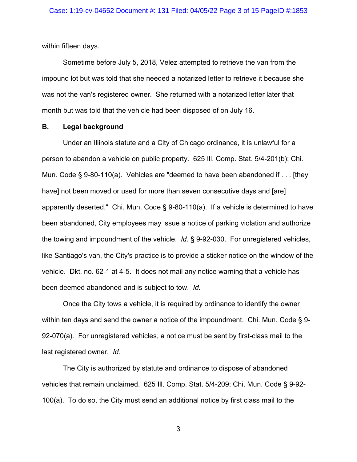within fifteen days.

Sometime before July 5, 2018, Velez attempted to retrieve the van from the impound lot but was told that she needed a notarized letter to retrieve it because she was not the van's registered owner. She returned with a notarized letter later that month but was told that the vehicle had been disposed of on July 16.

#### **B. Legal background**

Under an Illinois statute and a City of Chicago ordinance, it is unlawful for a person to abandon a vehicle on public property. 625 Ill. Comp. Stat. 5/4-201(b); Chi. Mun. Code § 9-80-110(a). Vehicles are "deemed to have been abandoned if . . . [they have] not been moved or used for more than seven consecutive days and [are] apparently deserted." Chi. Mun. Code § 9-80-110(a). If a vehicle is determined to have been abandoned, City employees may issue a notice of parking violation and authorize the towing and impoundment of the vehicle. *Id.* § 9-92-030. For unregistered vehicles, like Santiago's van, the City's practice is to provide a sticker notice on the window of the vehicle. Dkt. no. 62-1 at 4-5. It does not mail any notice warning that a vehicle has been deemed abandoned and is subject to tow. *Id.*

Once the City tows a vehicle, it is required by ordinance to identify the owner within ten days and send the owner a notice of the impoundment. Chi. Mun. Code § 9- 92-070(a). For unregistered vehicles, a notice must be sent by first-class mail to the last registered owner. *Id.*

The City is authorized by statute and ordinance to dispose of abandoned vehicles that remain unclaimed. 625 Ill. Comp. Stat. 5/4-209; Chi. Mun. Code § 9-92- 100(a). To do so, the City must send an additional notice by first class mail to the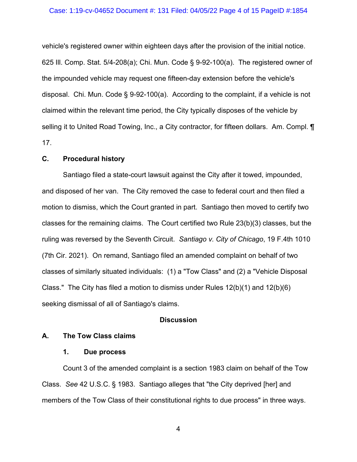#### Case: 1:19-cv-04652 Document #: 131 Filed: 04/05/22 Page 4 of 15 PageID #:1854

vehicle's registered owner within eighteen days after the provision of the initial notice. 625 Ill. Comp. Stat. 5/4-208(a); Chi. Mun. Code § 9-92-100(a). The registered owner of the impounded vehicle may request one fifteen-day extension before the vehicle's disposal. Chi. Mun. Code § 9-92-100(a). According to the complaint, if a vehicle is not claimed within the relevant time period, the City typically disposes of the vehicle by selling it to United Road Towing, Inc., a City contractor, for fifteen dollars. Am. Compl. **[1**] 17.

# **C. Procedural history**

Santiago filed a state-court lawsuit against the City after it towed, impounded, and disposed of her van. The City removed the case to federal court and then filed a motion to dismiss, which the Court granted in part. Santiago then moved to certify two classes for the remaining claims. The Court certified two Rule 23(b)(3) classes, but the ruling was reversed by the Seventh Circuit. *Santiago v. City of Chicago*, 19 F.4th 1010 (7th Cir. 2021). On remand, Santiago filed an amended complaint on behalf of two classes of similarly situated individuals: (1) a "Tow Class" and (2) a "Vehicle Disposal Class." The City has filed a motion to dismiss under Rules  $12(b)(1)$  and  $12(b)(6)$ seeking dismissal of all of Santiago's claims.

### **Discussion**

### **A. The Tow Class claims**

### **1. Due process**

Count 3 of the amended complaint is a section 1983 claim on behalf of the Tow Class. *See* 42 U.S.C. § 1983. Santiago alleges that "the City deprived [her] and members of the Tow Class of their constitutional rights to due process" in three ways.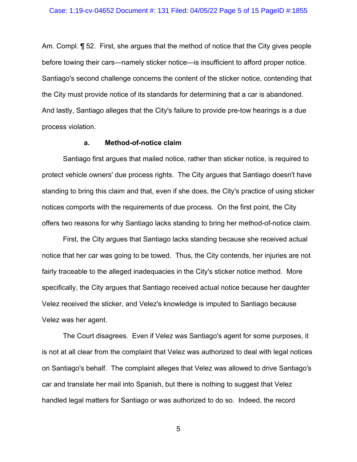Am. Compl. ¶ 52. First, she argues that the method of notice that the City gives people before towing their cars—namely sticker notice—is insufficient to afford proper notice. Santiago's second challenge concerns the content of the sticker notice, contending that the City must provide notice of its standards for determining that a car is abandoned. And lastly, Santiago alleges that the City's failure to provide pre-tow hearings is a due process violation.

#### **a. Method-of-notice claim**

Santiago first argues that mailed notice, rather than sticker notice, is required to protect vehicle owners' due process rights. The City argues that Santiago doesn't have standing to bring this claim and that, even if she does, the City's practice of using sticker notices comports with the requirements of due process. On the first point, the City offers two reasons for why Santiago lacks standing to bring her method-of-notice claim.

First, the City argues that Santiago lacks standing because she received actual notice that her car was going to be towed. Thus, the City contends, her injuries are not fairly traceable to the alleged inadequacies in the City's sticker notice method. More specifically, the City argues that Santiago received actual notice because her daughter Velez received the sticker, and Velez's knowledge is imputed to Santiago because Velez was her agent.

The Court disagrees. Even if Velez was Santiago's agent for some purposes, it is not at all clear from the complaint that Velez was authorized to deal with legal notices on Santiago's behalf. The complaint alleges that Velez was allowed to drive Santiago's car and translate her mail into Spanish, but there is nothing to suggest that Velez handled legal matters for Santiago or was authorized to do so. Indeed, the record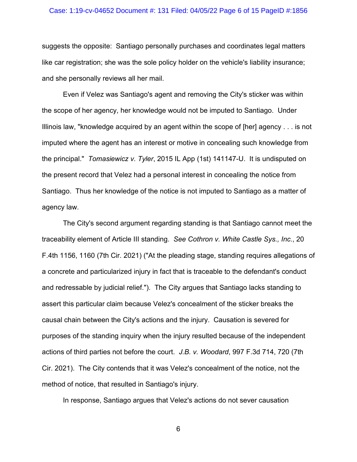#### Case: 1:19-cv-04652 Document #: 131 Filed: 04/05/22 Page 6 of 15 PageID #:1856

suggests the opposite: Santiago personally purchases and coordinates legal matters like car registration; she was the sole policy holder on the vehicle's liability insurance; and she personally reviews all her mail.

Even if Velez was Santiago's agent and removing the City's sticker was within the scope of her agency, her knowledge would not be imputed to Santiago. Under Illinois law, "knowledge acquired by an agent within the scope of [her] agency . . . is not imputed where the agent has an interest or motive in concealing such knowledge from the principal." *Tomasiewicz v. Tyler*, 2015 IL App (1st) 141147-U. It is undisputed on the present record that Velez had a personal interest in concealing the notice from Santiago. Thus her knowledge of the notice is not imputed to Santiago as a matter of agency law.

The City's second argument regarding standing is that Santiago cannot meet the traceability element of Article III standing. *See Cothron v. White Castle Sys., Inc.*, 20 F.4th 1156, 1160 (7th Cir. 2021) ("At the pleading stage, standing requires allegations of a concrete and particularized injury in fact that is traceable to the defendant's conduct and redressable by judicial relief."). The City argues that Santiago lacks standing to assert this particular claim because Velez's concealment of the sticker breaks the causal chain between the City's actions and the injury. Causation is severed for purposes of the standing inquiry when the injury resulted because of the independent actions of third parties not before the court. *J.B. v. Woodard*, 997 F.3d 714, 720 (7th Cir. 2021). The City contends that it was Velez's concealment of the notice, not the method of notice, that resulted in Santiago's injury.

In response, Santiago argues that Velez's actions do not sever causation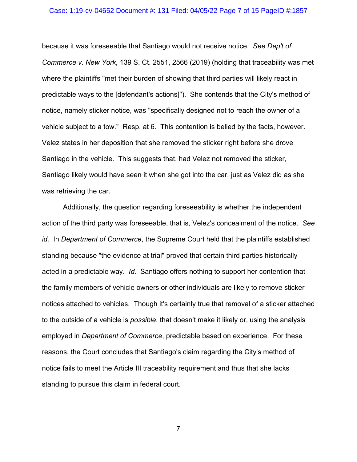#### Case: 1:19-cv-04652 Document #: 131 Filed: 04/05/22 Page 7 of 15 PageID #:1857

because it was foreseeable that Santiago would not receive notice. *See Dep't of Commerce v. New York*, 139 S. Ct. 2551, 2566 (2019) (holding that traceability was met where the plaintiffs "met their burden of showing that third parties will likely react in predictable ways to the [defendant's actions]"). She contends that the City's method of notice, namely sticker notice, was "specifically designed not to reach the owner of a vehicle subject to a tow." Resp. at 6. This contention is belied by the facts, however. Velez states in her deposition that she removed the sticker right before she drove Santiago in the vehicle. This suggests that, had Velez not removed the sticker, Santiago likely would have seen it when she got into the car, just as Velez did as she was retrieving the car.

Additionally, the question regarding foreseeability is whether the independent action of the third party was foreseeable, that is, Velez's concealment of the notice. *See id.* In *Department of Commerce*, the Supreme Court held that the plaintiffs established standing because "the evidence at trial" proved that certain third parties historically acted in a predictable way. *Id.* Santiago offers nothing to support her contention that the family members of vehicle owners or other individuals are likely to remove sticker notices attached to vehicles. Though it's certainly true that removal of a sticker attached to the outside of a vehicle is *possible*, that doesn't make it likely or, using the analysis employed in *Department of Commerce*, predictable based on experience. For these reasons, the Court concludes that Santiago's claim regarding the City's method of notice fails to meet the Article III traceability requirement and thus that she lacks standing to pursue this claim in federal court.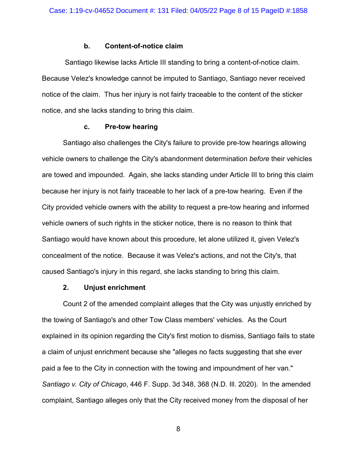### **b. Content-of-notice claim**

Santiago likewise lacks Article III standing to bring a content-of-notice claim. Because Velez's knowledge cannot be imputed to Santiago, Santiago never received notice of the claim. Thus her injury is not fairly traceable to the content of the sticker notice, and she lacks standing to bring this claim.

### **c. Pre-tow hearing**

Santiago also challenges the City's failure to provide pre-tow hearings allowing vehicle owners to challenge the City's abandonment determination *before* their vehicles are towed and impounded. Again, she lacks standing under Article III to bring this claim because her injury is not fairly traceable to her lack of a pre-tow hearing. Even if the City provided vehicle owners with the ability to request a pre-tow hearing and informed vehicle owners of such rights in the sticker notice, there is no reason to think that Santiago would have known about this procedure, let alone utilized it, given Velez's concealment of the notice. Because it was Velez's actions, and not the City's, that caused Santiago's injury in this regard, she lacks standing to bring this claim.

## **2. Unjust enrichment**

Count 2 of the amended complaint alleges that the City was unjustly enriched by the towing of Santiago's and other Tow Class members' vehicles. As the Court explained in its opinion regarding the City's first motion to dismiss, Santiago fails to state a claim of unjust enrichment because she "alleges no facts suggesting that she ever paid a fee to the City in connection with the towing and impoundment of her van." *Santiago v. City of Chicago*, 446 F. Supp. 3d 348, 368 (N.D. Ill. 2020). In the amended complaint, Santiago alleges only that the City received money from the disposal of her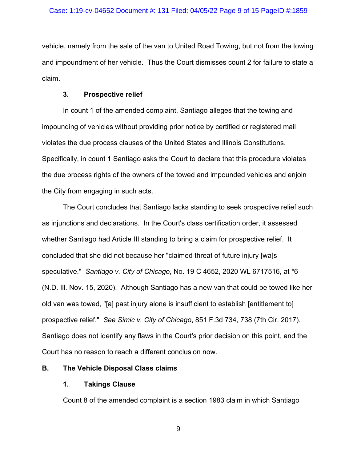vehicle, namely from the sale of the van to United Road Towing, but not from the towing and impoundment of her vehicle. Thus the Court dismisses count 2 for failure to state a claim.

## **3. Prospective relief**

In count 1 of the amended complaint, Santiago alleges that the towing and impounding of vehicles without providing prior notice by certified or registered mail violates the due process clauses of the United States and Illinois Constitutions. Specifically, in count 1 Santiago asks the Court to declare that this procedure violates the due process rights of the owners of the towed and impounded vehicles and enjoin the City from engaging in such acts.

The Court concludes that Santiago lacks standing to seek prospective relief such as injunctions and declarations. In the Court's class certification order, it assessed whether Santiago had Article III standing to bring a claim for prospective relief. It concluded that she did not because her "claimed threat of future injury [wa]s speculative." *Santiago v. City of Chicago*, No. 19 C 4652, 2020 WL 6717516, at \*6 (N.D. Ill. Nov. 15, 2020). Although Santiago has a new van that could be towed like her old van was towed, "[a] past injury alone is insufficient to establish [entitlement to] prospective relief." *See Simic v. City of Chicago*, 851 F.3d 734, 738 (7th Cir. 2017). Santiago does not identify any flaws in the Court's prior decision on this point, and the Court has no reason to reach a different conclusion now.

# **B. The Vehicle Disposal Class claims**

# **1. Takings Clause**

Count 8 of the amended complaint is a section 1983 claim in which Santiago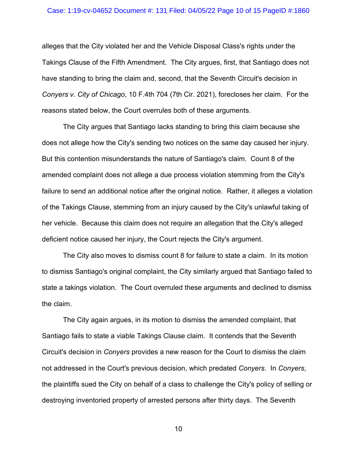#### Case: 1:19-cv-04652 Document #: 131 Filed: 04/05/22 Page 10 of 15 PageID #:1860

alleges that the City violated her and the Vehicle Disposal Class's rights under the Takings Clause of the Fifth Amendment. The City argues, first, that Santiago does not have standing to bring the claim and, second, that the Seventh Circuit's decision in *Conyers v. City of Chicago*, 10 F.4th 704 (7th Cir. 2021), forecloses her claim. For the reasons stated below, the Court overrules both of these arguments.

The City argues that Santiago lacks standing to bring this claim because she does not allege how the City's sending two notices on the same day caused her injury. But this contention misunderstands the nature of Santiago's claim. Count 8 of the amended complaint does not allege a due process violation stemming from the City's failure to send an additional notice after the original notice. Rather, it alleges a violation of the Takings Clause, stemming from an injury caused by the City's unlawful taking of her vehicle. Because this claim does not require an allegation that the City's alleged deficient notice caused her injury, the Court rejects the City's argument.

The City also moves to dismiss count 8 for failure to state a claim. In its motion to dismiss Santiago's original complaint, the City similarly argued that Santiago failed to state a takings violation. The Court overruled these arguments and declined to dismiss the claim.

The City again argues, in its motion to dismiss the amended complaint, that Santiago fails to state a viable Takings Clause claim. It contends that the Seventh Circuit's decision in *Conyers* provides a new reason for the Court to dismiss the claim not addressed in the Court's previous decision, which predated *Conyers*. In *Conyers*, the plaintiffs sued the City on behalf of a class to challenge the City's policy of selling or destroying inventoried property of arrested persons after thirty days. The Seventh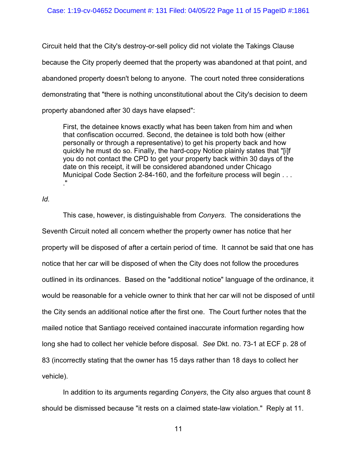Circuit held that the City's destroy-or-sell policy did not violate the Takings Clause because the City properly deemed that the property was abandoned at that point, and abandoned property doesn't belong to anyone. The court noted three considerations demonstrating that "there is nothing unconstitutional about the City's decision to deem property abandoned after 30 days have elapsed":

First, the detainee knows exactly what has been taken from him and when that confiscation occurred. Second, the detainee is told both how (either personally or through a representative) to get his property back and how quickly he must do so. Finally, the hard-copy Notice plainly states that "[i]f you do not contact the CPD to get your property back within 30 days of the date on this receipt, it will be considered abandoned under Chicago Municipal Code Section 2-84-160, and the forfeiture process will begin . . . ."

*Id.*

This case, however, is distinguishable from *Conyers*. The considerations the Seventh Circuit noted all concern whether the property owner has notice that her property will be disposed of after a certain period of time. It cannot be said that one has notice that her car will be disposed of when the City does not follow the procedures outlined in its ordinances. Based on the "additional notice" language of the ordinance, it would be reasonable for a vehicle owner to think that her car will not be disposed of until the City sends an additional notice after the first one. The Court further notes that the mailed notice that Santiago received contained inaccurate information regarding how long she had to collect her vehicle before disposal. *See* Dkt. no. 73-1 at ECF p. 28 of 83 (incorrectly stating that the owner has 15 days rather than 18 days to collect her vehicle).

In addition to its arguments regarding *Conyers*, the City also argues that count 8 should be dismissed because "it rests on a claimed state-law violation." Reply at 11.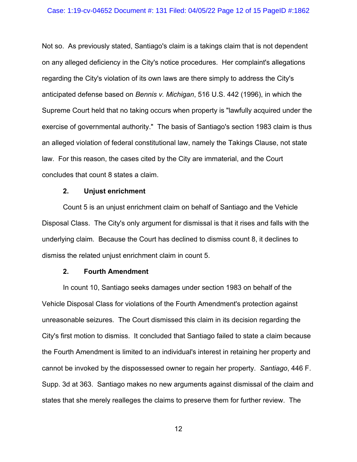## Case: 1:19-cv-04652 Document #: 131 Filed: 04/05/22 Page 12 of 15 PageID #:1862

Not so. As previously stated, Santiago's claim is a takings claim that is not dependent on any alleged deficiency in the City's notice procedures. Her complaint's allegations regarding the City's violation of its own laws are there simply to address the City's anticipated defense based on *Bennis v. Michigan*, 516 U.S. 442 (1996), in which the Supreme Court held that no taking occurs when property is "lawfully acquired under the exercise of governmental authority." The basis of Santiago's section 1983 claim is thus an alleged violation of federal constitutional law, namely the Takings Clause, not state law. For this reason, the cases cited by the City are immaterial, and the Court concludes that count 8 states a claim.

### **2. Unjust enrichment**

Count 5 is an unjust enrichment claim on behalf of Santiago and the Vehicle Disposal Class. The City's only argument for dismissal is that it rises and falls with the underlying claim. Because the Court has declined to dismiss count 8, it declines to dismiss the related unjust enrichment claim in count 5.

#### **2. Fourth Amendment**

In count 10, Santiago seeks damages under section 1983 on behalf of the Vehicle Disposal Class for violations of the Fourth Amendment's protection against unreasonable seizures. The Court dismissed this claim in its decision regarding the City's first motion to dismiss. It concluded that Santiago failed to state a claim because the Fourth Amendment is limited to an individual's interest in retaining her property and cannot be invoked by the dispossessed owner to regain her property. *Santiago*, 446 F. Supp. 3d at 363. Santiago makes no new arguments against dismissal of the claim and states that she merely realleges the claims to preserve them for further review. The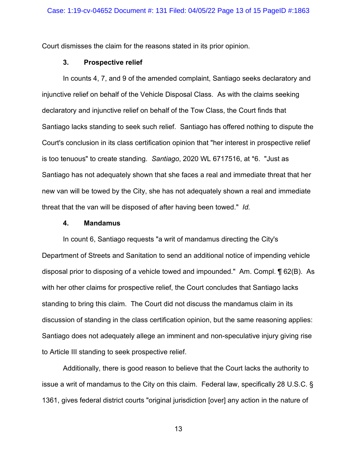Court dismisses the claim for the reasons stated in its prior opinion.

## **3. Prospective relief**

In counts 4, 7, and 9 of the amended complaint, Santiago seeks declaratory and injunctive relief on behalf of the Vehicle Disposal Class. As with the claims seeking declaratory and injunctive relief on behalf of the Tow Class, the Court finds that Santiago lacks standing to seek such relief. Santiago has offered nothing to dispute the Court's conclusion in its class certification opinion that "her interest in prospective relief is too tenuous" to create standing. *Santiago*, 2020 WL 6717516, at \*6. "Just as Santiago has not adequately shown that she faces a real and immediate threat that her new van will be towed by the City, she has not adequately shown a real and immediate threat that the van will be disposed of after having been towed." *Id.*

#### **4. Mandamus**

In count 6, Santiago requests "a writ of mandamus directing the City's Department of Streets and Sanitation to send an additional notice of impending vehicle disposal prior to disposing of a vehicle towed and impounded." Am. Compl. ¶ 62(B). As with her other claims for prospective relief, the Court concludes that Santiago lacks standing to bring this claim. The Court did not discuss the mandamus claim in its discussion of standing in the class certification opinion, but the same reasoning applies: Santiago does not adequately allege an imminent and non-speculative injury giving rise to Article III standing to seek prospective relief.

Additionally, there is good reason to believe that the Court lacks the authority to issue a writ of mandamus to the City on this claim. Federal law, specifically 28 U.S.C. § 1361, gives federal district courts "original jurisdiction [over] any action in the nature of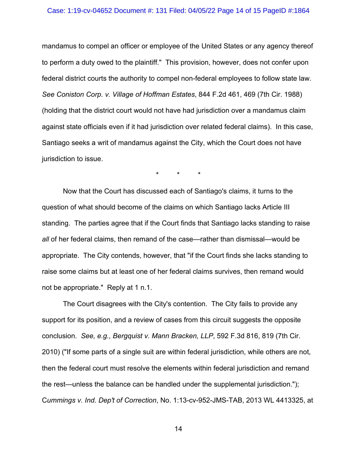## Case: 1:19-cv-04652 Document #: 131 Filed: 04/05/22 Page 14 of 15 PageID #:1864

mandamus to compel an officer or employee of the United States or any agency thereof to perform a duty owed to the plaintiff." This provision, however, does not confer upon federal district courts the authority to compel non-federal employees to follow state law. *See Coniston Corp. v. Village of Hoffman Estates*, 844 F.2d 461, 469 (7th Cir. 1988) (holding that the district court would not have had jurisdiction over a mandamus claim against state officials even if it had jurisdiction over related federal claims). In this case, Santiago seeks a writ of mandamus against the City, which the Court does not have jurisdiction to issue.

\* \* \*

Now that the Court has discussed each of Santiago's claims, it turns to the question of what should become of the claims on which Santiago lacks Article III standing. The parties agree that if the Court finds that Santiago lacks standing to raise *all* of her federal claims, then remand of the case—rather than dismissal—would be appropriate. The City contends, however, that "if the Court finds she lacks standing to raise some claims but at least one of her federal claims survives, then remand would not be appropriate." Reply at 1 n.1.

The Court disagrees with the City's contention. The City fails to provide any support for its position, and a review of cases from this circuit suggests the opposite conclusion. *See, e.g., Bergquist v. Mann Bracken, LLP*, 592 F.3d 816, 819 (7th Cir. 2010) ("If some parts of a single suit are within federal jurisdiction, while others are not, then the federal court must resolve the elements within federal jurisdiction and remand the rest—unless the balance can be handled under the supplemental jurisdiction."); C*ummings v. Ind. Dep't of Correction*, No. 1:13-cv-952-JMS-TAB, 2013 WL 4413325, at